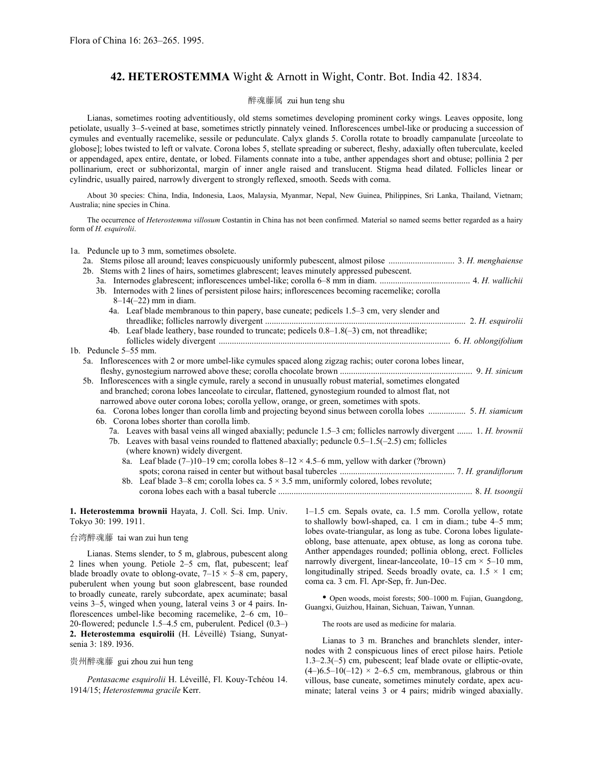# **42. HETEROSTEMMA** Wight & Arnott in Wight, Contr. Bot. India 42. 1834.

# 醉魂藤属 zui hun teng shu

Lianas, sometimes rooting adventitiously, old stems sometimes developing prominent corky wings. Leaves opposite, long petiolate, usually 3–5-veined at base, sometimes strictly pinnately veined. Inflorescences umbel-like or producing a succession of cymules and eventually racemelike, sessile or pedunculate. Calyx glands 5. Corolla rotate to broadly campanulate [urceolate to globose]; lobes twisted to left or valvate. Corona lobes 5, stellate spreading or suberect, fleshy, adaxially often tuberculate, keeled or appendaged, apex entire, dentate, or lobed. Filaments connate into a tube, anther appendages short and obtuse; pollinia 2 per pollinarium, erect or subhorizontal, margin of inner angle raised and translucent. Stigma head dilated. Follicles linear or cylindric, usually paired, narrowly divergent to strongly reflexed, smooth. Seeds with coma.

About 30 species: China, India, Indonesia, Laos, Malaysia, Myanmar, Nepal, New Guinea, Philippines, Sri Lanka, Thailand, Vietnam; Australia; nine species in China.

The occurrence of *Heterostemma villosum* Costantin in China has not been confirmed. Material so named seems better regarded as a hairy form of *H. esquirolii*.

| 1a. Peduncle up to 3 mm, sometimes obsolete.                                                                     |  |
|------------------------------------------------------------------------------------------------------------------|--|
|                                                                                                                  |  |
| 2b. Stems with 2 lines of hairs, sometimes glabrescent; leaves minutely appressed pubescent.                     |  |
|                                                                                                                  |  |
| 3b. Internodes with 2 lines of persistent pilose hairs; inflorescences becoming racemelike; corolla              |  |
| $8-14(-22)$ mm in diam.                                                                                          |  |
| 4a. Leaf blade membranous to thin papery, base cuneate; pedicels 1.5–3 cm, very slender and                      |  |
|                                                                                                                  |  |
| 4b. Leaf blade leathery, base rounded to truncate; pedicels 0.8–1.8(-3) cm, not threadlike;                      |  |
|                                                                                                                  |  |
| 1b. Peduncle 5–55 mm.                                                                                            |  |
| 5a. Inflorescences with 2 or more umbel-like cymules spaced along zigzag rachis; outer corona lobes linear,      |  |
|                                                                                                                  |  |
| 5b. Inflorescences with a single cymule, rarely a second in unusually robust material, sometimes elongated       |  |
| and branched; corona lobes lanceolate to circular, flattened, gynostegium rounded to almost flat, not            |  |
| narrowed above outer corona lobes; corolla yellow, orange, or green, sometimes with spots.                       |  |
| 6a. Corona lobes longer than corolla limb and projecting beyond sinus between corolla lobes  5. H. siamicum      |  |
| 6b. Corona lobes shorter than corolla limb.                                                                      |  |
| 7a. Leaves with basal veins all winged abaxially; peduncle 1.5–3 cm; follicles narrowly divergent  1. H. brownii |  |
| 7b. Leaves with basal veins rounded to flattened abaxially; peduncle $0.5-1.5(-2.5)$ cm; follicles               |  |
| (where known) widely divergent.                                                                                  |  |
| 8a. Leaf blade $(7-10-19$ cm; corolla lobes $8-12 \times 4.5-6$ mm, yellow with darker (?brown)                  |  |
|                                                                                                                  |  |
| 8b. Leaf blade 3–8 cm; corolla lobes ca. $5 \times 3.5$ mm, uniformly colored, lobes revolute;                   |  |
|                                                                                                                  |  |
|                                                                                                                  |  |

**1. Heterostemma brownii** Hayata, J. Coll. Sci. Imp. Univ. Tokyo 30: 199. 1911.

# 台湾醉魂藤 tai wan zui hun teng

Lianas. Stems slender, to 5 m, glabrous, pubescent along 2 lines when young. Petiole 2–5 cm, flat, pubescent; leaf blade broadly ovate to oblong-ovate,  $7-15 \times 5-8$  cm, papery, puberulent when young but soon glabrescent, base rounded to broadly cuneate, rarely subcordate, apex acuminate; basal veins 3–5, winged when young, lateral veins 3 or 4 pairs. Inflorescences umbel-like becoming racemelike, 2–6 cm, 10– 20-flowered; peduncle 1.5–4.5 cm, puberulent. Pedicel (0.3–) **2. Heterostemma esquirolii** (H. Léveillé) Tsiang, Sunyatsenia 3: 189. l936.

# 贵州醉魂藤 gui zhou zui hun teng

*Pentasacme esquirolii* H. Léveillé, Fl. Kouy-Tchéou 14. 1914/15; *Heterostemma gracile* Kerr.

1–1.5 cm. Sepals ovate, ca. 1.5 mm. Corolla yellow, rotate to shallowly bowl-shaped, ca. 1 cm in diam.; tube 4–5 mm; lobes ovate-triangular, as long as tube. Corona lobes ligulateoblong, base attenuate, apex obtuse, as long as corona tube. Anther appendages rounded; pollinia oblong, erect. Follicles narrowly divergent, linear-lanceolate,  $10-15$  cm  $\times$  5–10 mm, longitudinally striped. Seeds broadly ovate, ca.  $1.5 \times 1$  cm; coma ca. 3 cm. Fl. Apr-Sep, fr. Jun-Dec.

• Open woods, moist forests; 500–1000 m. Fujian, Guangdong, Guangxi, Guizhou, Hainan, Sichuan, Taiwan, Yunnan.

The roots are used as medicine for malaria.

Lianas to 3 m. Branches and branchlets slender, internodes with 2 conspicuous lines of erect pilose hairs. Petiole 1.3–2.3(–5) cm, pubescent; leaf blade ovate or elliptic-ovate,  $(4-)6.5-10(-12) \times 2-6.5$  cm, membranous, glabrous or thin villous, base cuneate, sometimes minutely cordate, apex acuminate; lateral veins 3 or 4 pairs; midrib winged abaxially.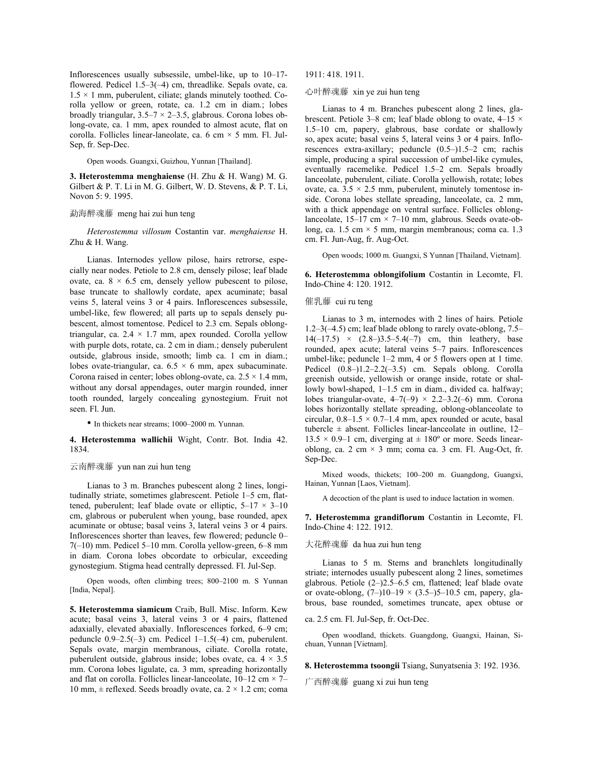Inflorescences usually subsessile, umbel-like, up to 10–17 flowered. Pedicel 1.5–3(-4) cm, threadlike. Sepals ovate, ca.  $1.5 \times 1$  mm, puberulent, ciliate; glands minutely toothed. Corolla yellow or green, rotate, ca. 1.2 cm in diam.; lobes broadly triangular,  $3.5-7 \times 2-3.5$ , glabrous. Corona lobes oblong-ovate, ca. 1 mm, apex rounded to almost acute, flat on corolla. Follicles linear-laneolate, ca. 6 cm  $\times$  5 mm. Fl. Jul-Sep, fr. Sep-Dec.

Open woods. Guangxi, Guizhou, Yunnan [Thailand].

**3. Heterostemma menghaiense** (H. Zhu & H. Wang) M. G. Gilbert & P. T. Li in M. G. Gilbert, W. D. Stevens, & P. T. Li, Novon 5: 9. 1995.

# 勐海醉魂藤 meng hai zui hun teng

*Heterostemma villosum* Costantin var. *menghaiense* H. Zhu & H. Wang.

Lianas. Internodes yellow pilose, hairs retrorse, especially near nodes. Petiole to 2.8 cm, densely pilose; leaf blade ovate, ca.  $8 \times 6.5$  cm, densely yellow pubescent to pilose, base truncate to shallowly cordate, apex acuminate; basal veins 5, lateral veins 3 or 4 pairs. Inflorescences subsessile, umbel-like, few flowered; all parts up to sepals densely pubescent, almost tomentose. Pedicel to 2.3 cm. Sepals oblongtriangular, ca.  $2.4 \times 1.7$  mm, apex rounded. Corolla yellow with purple dots, rotate, ca. 2 cm in diam.; densely puberulent outside, glabrous inside, smooth; limb ca. 1 cm in diam.; lobes ovate-triangular, ca.  $6.5 \times 6$  mm, apex subacuminate. Corona raised in center; lobes oblong-ovate, ca.  $2.5 \times 1.4$  mm, without any dorsal appendages, outer margin rounded, inner tooth rounded, largely concealing gynostegium. Fruit not seen. Fl. Jun.

• In thickets near streams; 1000–2000 m. Yunnan.

**4. Heterostemma wallichii** Wight, Contr. Bot. India 42. 1834.

#### 云南醉魂藤 yun nan zui hun teng

Lianas to 3 m. Branches pubescent along 2 lines, longitudinally striate, sometimes glabrescent. Petiole 1–5 cm, flattened, puberulent; leaf blade ovate or elliptic,  $5-17 \times 3-10$ cm, glabrous or puberulent when young, base rounded, apex acuminate or obtuse; basal veins 3, lateral veins 3 or 4 pairs. Inflorescences shorter than leaves, few flowered; peduncle 0– 7(–10) mm. Pedicel 5–10 mm. Corolla yellow-green, 6–8 mm in diam. Corona lobes obcordate to orbicular, exceeding gynostegium. Stigma head centrally depressed. Fl. Jul-Sep.

Open woods, often climbing trees; 800–2100 m. S Yunnan [India, Nepal].

**5. Heterostemma siamicum** Craib, Bull. Misc. Inform. Kew acute; basal veins 3, lateral veins 3 or 4 pairs, flattened adaxially, elevated abaxially. Inflorescences forked, 6–9 cm; peduncle  $0.9-2.5(-3)$  cm. Pedicel  $1-1.5(-4)$  cm, puberulent. Sepals ovate, margin membranous, ciliate. Corolla rotate, puberulent outside, glabrous inside; lobes ovate, ca.  $4 \times 3.5$ mm. Corona lobes ligulate, ca. 3 mm, spreading horizontally and flat on corolla. Follicles linear-lanceolate,  $10-12$  cm  $\times$  7– 10 mm,  $\pm$  reflexed. Seeds broadly ovate, ca.  $2 \times 1.2$  cm; coma 1911: 418. 1911.

心叶醉魂藤 xin ye zui hun teng

Lianas to 4 m. Branches pubescent along 2 lines, glabrescent. Petiole 3–8 cm; leaf blade oblong to ovate,  $4-15 \times$ 1.5–10 cm, papery, glabrous, base cordate or shallowly so, apex acute; basal veins 5, lateral veins 3 or 4 pairs. Inflorescences extra-axillary; peduncle (0.5–)1.5–2 cm; rachis simple, producing a spiral succession of umbel-like cymules, eventually racemelike. Pedicel 1.5–2 cm. Sepals broadly lanceolate, puberulent, ciliate. Corolla yellowish, rotate; lobes ovate, ca.  $3.5 \times 2.5$  mm, puberulent, minutely tomentose inside. Corona lobes stellate spreading, lanceolate, ca. 2 mm, with a thick appendage on ventral surface. Follicles oblonglanceolate,  $15-17$  cm  $\times$  7-10 mm, glabrous. Seeds ovate-oblong, ca. 1.5 cm × 5 mm, margin membranous; coma ca. 1.3 cm. Fl. Jun-Aug, fr. Aug-Oct.

Open woods; 1000 m. Guangxi, S Yunnan [Thailand, Vietnam].

**6. Heterostemma oblongifolium** Costantin in Lecomte, Fl. Indo-Chine 4: 120. 1912.

### 催乳藤 cui ru teng

Lianas to 3 m, internodes with 2 lines of hairs. Petiole 1.2–3(–4.5) cm; leaf blade oblong to rarely ovate-oblong, 7.5–  $14(-17.5) \times (2.8-)3.5-5.4(-7)$  cm, thin leathery, base rounded, apex acute; lateral veins 5–7 pairs. Inflorescences umbel-like; peduncle 1–2 mm, 4 or 5 flowers open at 1 time. Pedicel (0.8–)1.2–2.2(–3.5) cm. Sepals oblong. Corolla greenish outside, yellowish or orange inside, rotate or shallowly bowl-shaped, 1–1.5 cm in diam., divided ca. halfway; lobes triangular-ovate,  $4-7(-9) \times 2.2-3.2(-6)$  mm. Corona lobes horizontally stellate spreading, oblong-oblanceolate to circular,  $0.8-1.5 \times 0.7-1.4$  mm, apex rounded or acute, basal tubercle  $\pm$  absent. Follicles linear-lanceolate in outline, 12–  $13.5 \times 0.9$ –1 cm, diverging at  $\pm 180^{\circ}$  or more. Seeds linearoblong, ca. 2 cm  $\times$  3 mm; coma ca. 3 cm. Fl. Aug-Oct, fr. Sep-Dec.

Mixed woods, thickets; 100–200 m. Guangdong, Guangxi, Hainan, Yunnan [Laos, Vietnam].

A decoction of the plant is used to induce lactation in women.

**7. Heterostemma grandiflorum** Costantin in Lecomte, Fl. Indo-Chine 4: 122. 1912.

大花醉魂藤 da hua zui hun teng

Lianas to 5 m. Stems and branchlets longitudinally striate; internodes usually pubescent along 2 lines, sometimes glabrous. Petiole (2–)2.5–6.5 cm, flattened; leaf blade ovate or ovate-oblong,  $(7-)10-19 \times (3.5-)5-10.5$  cm, papery, glabrous, base rounded, sometimes truncate, apex obtuse or

ca. 2.5 cm. Fl. Jul-Sep, fr. Oct-Dec.

Open woodland, thickets. Guangdong, Guangxi, Hainan, Sichuan, Yunnan [Vietnam].

**8. Heterostemma tsoongii** Tsiang, Sunyatsenia 3: 192. 1936.

广西醉魂藤 guang xi zui hun teng